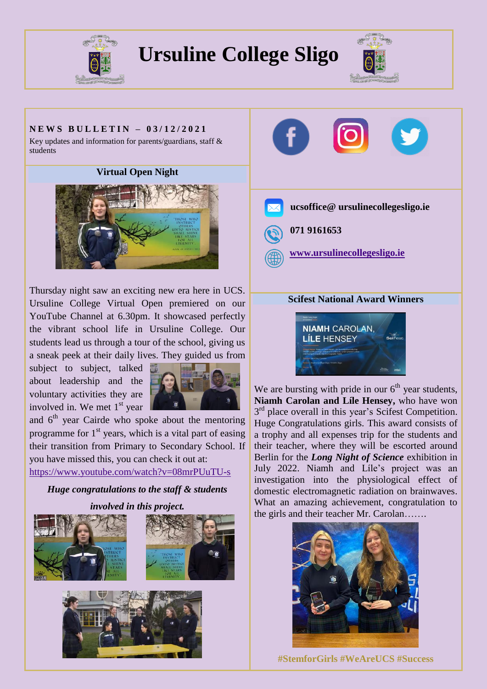

## **Ursuline College Sligo**



### **N E W S B U L L E T I N – 0 3 / 1 2 / 2 0 2 1**

Key updates and information for parents/guardians, staff & students

**Virtual Open Night**



Thursday night saw an exciting new era here in UCS. Ursuline College Virtual Open premiered on our YouTube Channel at 6.30pm. It showcased perfectly the vibrant school life in Ursuline College. Our students lead us through a tour of the school, giving us a sneak peek at their daily lives. They guided us from

subject to subject, talked about leadership and the voluntary activities they are involved in. We met 1<sup>st</sup> year



and  $6<sup>th</sup>$  year Cairde who spoke about the mentoring programme for  $1<sup>st</sup>$  years, which is a vital part of easing their transition from Primary to Secondary School. If you have missed this, you can check it out at: <https://www.youtube.com/watch?v=08mrPUuTU-s>

*Huge congratulations to the staff & students involved in this project.*









# **NIAMH CAROLAN. LÍLE HENSEY**

We are bursting with pride in our  $6<sup>th</sup>$  year students, **Niamh Carolan and Líle Hensey,** who have won 3<sup>rd</sup> place overall in this year's Scifest Competition. Huge Congratulations girls. This award consists of a trophy and all expenses trip for the students and their teacher, where they will be escorted around Berlin for the *Long Night of Science* exhibition in July 2022. Niamh and Líle's project was an investigation into the physiological effect of domestic electromagnetic radiation on brainwaves. What an amazing achievement, congratulation to the girls and their teacher Mr. Carolan…….



**#StemforGirls #WeAreUCS #Success**